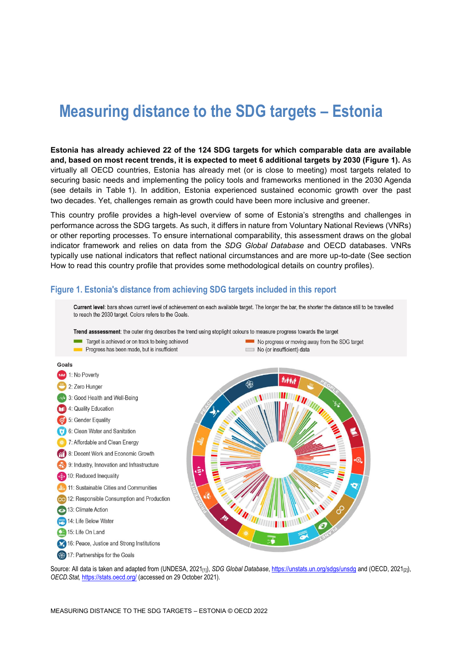# **Measuring distance to the SDG targets – Estonia**

**Estonia has already achieved 22 of the 124 SDG targets for which comparable data are available and, based on most recent trends, it is expected to meet 6 additional targets by 2030 [\(Figure](#page-0-0) 1).** As virtually all OECD countries, Estonia has already met (or is close to meeting) most targets related to securing basic needs and implementing the policy tools and frameworks mentioned in the 2030 Agenda (see details in [Table](#page-3-0) 1). In addition, Estonia experienced sustained economic growth over the past two decades. Yet, challenges remain as growth could have been more inclusive and greener.

This country profile provides a high-level overview of some of Estonia's strengths and challenges in performance across the SDG targets. As such, it differs in nature from Voluntary National Reviews (VNRs) or other reporting processes. To ensure international comparability, this assessment draws on the global indicator framework and relies on data from the *SDG Global Database* and OECD databases. VNRs typically use national indicators that reflect national circumstances and are more up-to-date (See section [How to read this](#page-8-0) country profile that provides some methodological details on country profiles).

#### <span id="page-0-0"></span>**Figure 1. Estonia's distance from achieving SDG targets included in this report**



Source: All data is taken and adapted from (UNDESA, 2021<sub>[1]</sub>), *SDG Global Database*[, https://unstats.un.org/sdgs/unsdg](https://unstats.un.org/sdgs/unsdg) and (OECD, 2021<sub>[2]</sub>), *OECD.Stat,* <https://stats.oecd.org/> (accessed on 29 October 2021).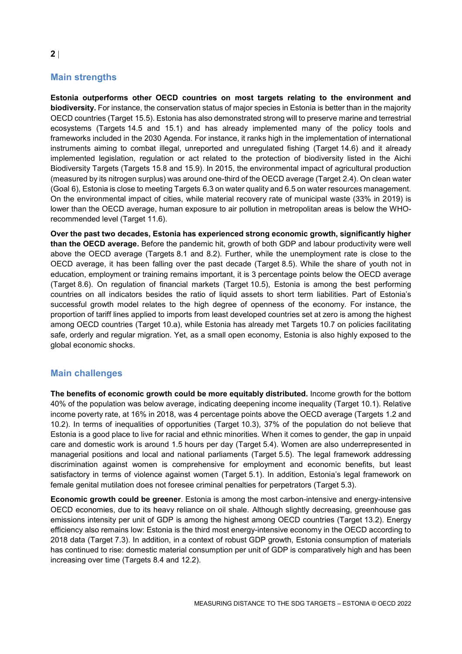# **Main strengths**

**Estonia outperforms other OECD countries on most targets relating to the environment and biodiversity.** For instance, the conservation status of major species in Estonia is better than in the majority OECD countries (Target 15.5). Estonia has also demonstrated strong will to preserve marine and terrestrial ecosystems (Targets 14.5 and 15.1) and has already implemented many of the policy tools and frameworks included in the 2030 Agenda. For instance, it ranks high in the implementation of international instruments aiming to combat illegal, unreported and unregulated fishing (Target 14.6) and it already implemented legislation, regulation or act related to the protection of biodiversity listed in the Aichi Biodiversity Targets (Targets 15.8 and 15.9). In 2015, the environmental impact of agricultural production (measured by its nitrogen surplus) was around one-third of the OECD average (Target 2.4). On clean water (Goal 6), Estonia is close to meeting Targets 6.3 on water quality and 6.5 on water resources management. On the environmental impact of cities, while material recovery rate of municipal waste (33% in 2019) is lower than the OECD average, human exposure to air pollution in metropolitan areas is below the WHOrecommended level (Target 11.6).

**Over the past two decades, Estonia has experienced strong economic growth, significantly higher than the OECD average.** Before the pandemic hit, growth of both GDP and labour productivity were well above the OECD average (Targets 8.1 and 8.2). Further, while the unemployment rate is close to the OECD average, it has been falling over the past decade (Target 8.5). While the share of youth not in education, employment or training remains important, it is 3 percentage points below the OECD average (Target 8.6). On regulation of financial markets (Target 10.5), Estonia is among the best performing countries on all indicators besides the ratio of liquid assets to short term liabilities. Part of Estonia's successful growth model relates to the high degree of openness of the economy. For instance, the proportion of tariff lines applied to imports from least developed countries set at zero is among the highest among OECD countries (Target 10.a), while Estonia has already met Targets 10.7 on policies facilitating safe, orderly and regular migration. Yet, as a small open economy, Estonia is also highly exposed to the global economic shocks.

#### **Main challenges**

**The benefits of economic growth could be more equitably distributed.** Income growth for the bottom 40% of the population was below average, indicating deepening income inequality (Target 10.1). Relative income poverty rate, at 16% in 2018, was 4 percentage points above the OECD average (Targets 1.2 and 10.2). In terms of inequalities of opportunities (Target 10.3), 37% of the population do not believe that Estonia is a good place to live for racial and ethnic minorities. When it comes to gender, the gap in unpaid care and domestic work is around 1.5 hours per day (Target 5.4). Women are also underrepresented in managerial positions and local and national parliaments (Target 5.5). The legal framework addressing discrimination against women is comprehensive for employment and economic benefits, but least satisfactory in terms of violence against women (Target 5.1). In addition, Estonia's legal framework on female genital mutilation does not foresee criminal penalties for perpetrators (Target 5.3).

**Economic growth could be greener**. Estonia is among the most carbon-intensive and energy-intensive OECD economies, due to its heavy reliance on oil shale. Although slightly decreasing, greenhouse gas emissions intensity per unit of GDP is among the highest among OECD countries (Target 13.2). Energy efficiency also remains low: Estonia is the third most energy-intensive economy in the OECD according to 2018 data (Target 7.3). In addition, in a context of robust GDP growth, Estonia consumption of materials has continued to rise: domestic material consumption per unit of GDP is comparatively high and has been increasing over time (Targets 8.4 and 12.2).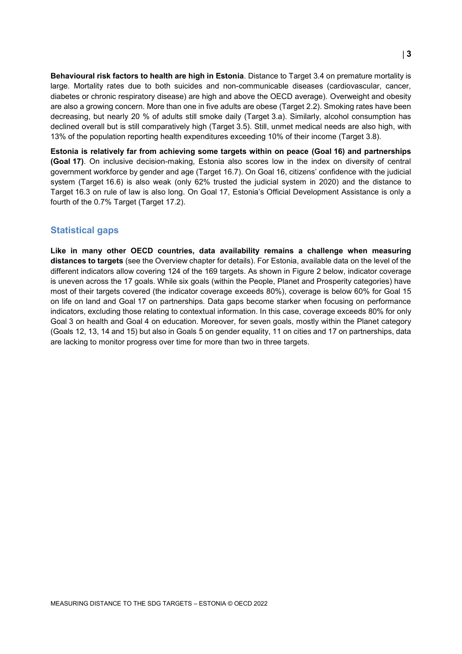**Behavioural risk factors to health are high in Estonia**. Distance to Target 3.4 on premature mortality is large. Mortality rates due to both suicides and non-communicable diseases (cardiovascular, cancer, diabetes or chronic respiratory disease) are high and above the OECD average). Overweight and obesity are also a growing concern. More than one in five adults are obese (Target 2.2). Smoking rates have been decreasing, but nearly 20 % of adults still smoke daily (Target 3.a). Similarly, alcohol consumption has declined overall but is still comparatively high (Target 3.5). Still, unmet medical needs are also high, with 13% of the population reporting health expenditures exceeding 10% of their income (Target 3.8).

**Estonia is relatively far from achieving some targets within on peace (Goal 16) and partnerships (Goal 17)**. On inclusive decision-making, Estonia also scores low in the index on diversity of central government workforce by gender and age (Target 16.7). On Goal 16, citizens' confidence with the judicial system (Target 16.6) is also weak (only 62% trusted the judicial system in 2020) and the distance to Target 16.3 on rule of law is also long. On Goal 17, Estonia's Official Development Assistance is only a fourth of the 0.7% Target (Target 17.2).

#### **Statistical gaps**

**Like in many other OECD countries, data availability remains a challenge when measuring distances to targets** (see the Overview chapter for details). For Estonia, available data on the level of the different indicators allow covering 124 of the 169 targets. As shown in [Figure](#page-3-1) 2 below, indicator coverage is uneven across the 17 goals. While six goals (within the People, Planet and Prosperity categories) have most of their targets covered (the indicator coverage exceeds 80%), coverage is below 60% for Goal 15 on life on land and Goal 17 on partnerships. Data gaps become starker when focusing on performance indicators, excluding those relating to contextual information. In this case, coverage exceeds 80% for only Goal 3 on health and Goal 4 on education. Moreover, for seven goals, mostly within the Planet category (Goals 12, 13, 14 and 15) but also in Goals 5 on gender equality, 11 on cities and 17 on partnerships, data are lacking to monitor progress over time for more than two in three targets.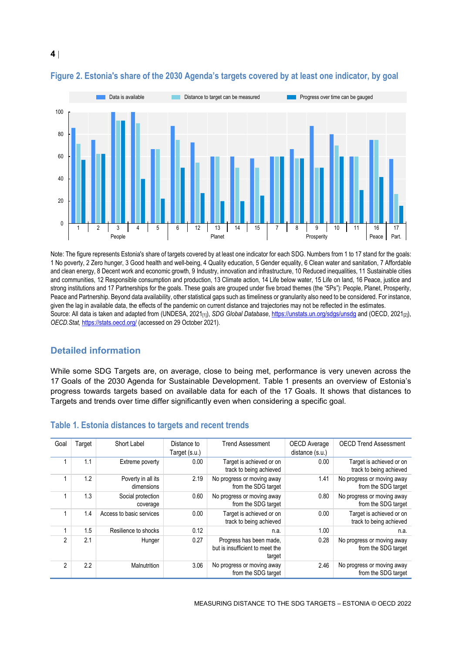

#### <span id="page-3-1"></span>**Figure 2. Estonia's share of the 2030 Agenda's targets covered by at least one indicator, by goal**

Note: The figure represents Estonia's share of targets covered by at least one indicator for each SDG. Numbers from 1 to 17 stand for the goals: 1 No poverty, 2 Zero hunger, 3 Good health and well-being, 4 Quality education, 5 Gender equality, 6 Clean water and sanitation, 7 Affordable and clean energy, 8 Decent work and economic growth, 9 Industry, innovation and infrastructure, 10 Reduced inequalities, 11 Sustainable cities and communities, 12 Responsible consumption and production, 13 Climate action, 14 Life below water, 15 Life on land, 16 Peace, justice and strong institutions and 17 Partnerships for the goals. These goals are grouped under five broad themes (the "5Ps"): People, Planet, Prosperity, Peace and Partnership. Beyond data availability, other statistical gaps such as timeliness or granularity also need to be considered. For instance, given the lag in available data, the effects of the pandemic on current distance and trajectories may not be reflected in the estimates. Source: All data is taken and adapted from (UNDESA, 2021<sub>[1]</sub>), *SDG Global Database*[, https://unstats.un.org/sdgs/unsdg](https://unstats.un.org/sdgs/unsdg) and (OECD, 2021<sub>[2]</sub>), *OECD.Stat,* <https://stats.oecd.org/> (accessed on 29 October 2021).

## **Detailed information**

While some SDG Targets are, on average, close to being met, performance is very uneven across the 17 Goals of the 2030 Agenda for Sustainable Development. [Table](#page-3-0) 1 presents an overview of Estonia's progress towards targets based on available data for each of the 17 Goals. It shows that distances to Targets and trends over time differ significantly even when considering a specific goal.

| Goal           | Target | Short Label                      | Distance to   | <b>Trend Assessment</b>                                              | OECD Average    | <b>OECD Trend Assessment</b>                        |
|----------------|--------|----------------------------------|---------------|----------------------------------------------------------------------|-----------------|-----------------------------------------------------|
|                |        |                                  | Target (s.u.) |                                                                      | distance (s.u.) |                                                     |
|                | 1.1    | Extreme poverty                  | 0.00          | Target is achieved or on<br>track to being achieved                  | 0.00            | Target is achieved or on<br>track to being achieved |
|                | 1.2    | Poverty in all its<br>dimensions | 2.19          | No progress or moving away<br>from the SDG target                    | 1.41            | No progress or moving away<br>from the SDG target   |
|                | 1.3    | Social protection<br>coverage    | 0.60          | No progress or moving away<br>from the SDG target                    | 0.80            | No progress or moving away<br>from the SDG target   |
|                | 1.4    | Access to basic services         | 0.00          | Target is achieved or on<br>track to being achieved                  | 0.00            | Target is achieved or on<br>track to being achieved |
|                | 1.5    | Resilience to shocks             | 0.12          | n.a.                                                                 | 1.00            | n.a.                                                |
| $\mathfrak{p}$ | 2.1    | Hunger                           | 0.27          | Progress has been made.<br>but is insufficient to meet the<br>target | 0.28            | No progress or moving away<br>from the SDG target   |
| $\overline{2}$ | 2.2    | Malnutrition                     | 3.06          | No progress or moving away<br>from the SDG target                    | 2.46            | No progress or moving away<br>from the SDG target   |

#### <span id="page-3-0"></span>**Table 1. Estonia distances to targets and recent trends**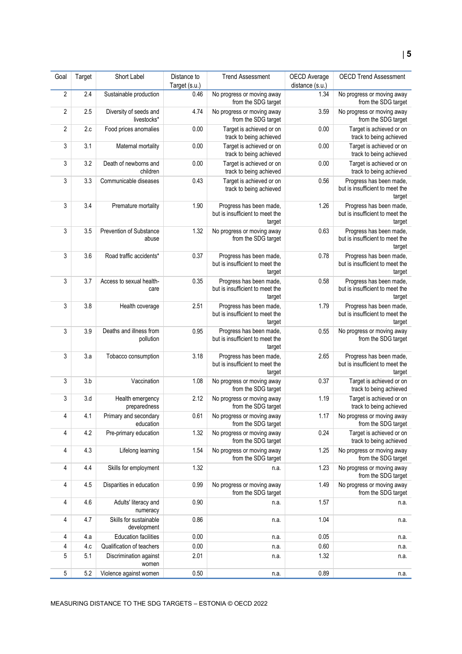| Goal           | Target | Short Label                           | Distance to           | <b>Trend Assessment</b>                                              | OECD Average            | <b>OECD Trend Assessment</b>                                         |
|----------------|--------|---------------------------------------|-----------------------|----------------------------------------------------------------------|-------------------------|----------------------------------------------------------------------|
| $\sqrt{2}$     | 2.4    | Sustainable production                | Target (s.u.)<br>0.46 | No progress or moving away                                           | distance (s.u.)<br>1.34 | No progress or moving away                                           |
|                |        |                                       |                       | from the SDG target                                                  |                         | from the SDG target                                                  |
| 2              | 2.5    | Diversity of seeds and<br>livestocks* | 4.74                  | No progress or moving away<br>from the SDG target                    | 3.59                    | No progress or moving away<br>from the SDG target                    |
| $\overline{2}$ | 2.c    | Food prices anomalies                 | 0.00                  | Target is achieved or on<br>track to being achieved                  | 0.00                    | Target is achieved or on<br>track to being achieved                  |
| 3              | 3.1    | Maternal mortality                    | 0.00                  | Target is achieved or on<br>track to being achieved                  | 0.00                    | Target is achieved or on<br>track to being achieved                  |
| 3              | 3.2    | Death of newborns and<br>children     | 0.00                  | Target is achieved or on<br>track to being achieved                  | 0.00                    | Target is achieved or on<br>track to being achieved                  |
| 3              | 3.3    | Communicable diseases                 | 0.43                  | Target is achieved or on<br>track to being achieved                  | 0.56                    | Progress has been made,<br>but is insufficient to meet the<br>target |
| 3              | 3.4    | Premature mortality                   | 1.90                  | Progress has been made,<br>but is insufficient to meet the<br>target | 1.26                    | Progress has been made,<br>but is insufficient to meet the<br>target |
| 3              | 3.5    | Prevention of Substance<br>abuse      | 1.32                  | No progress or moving away<br>from the SDG target                    | 0.63                    | Progress has been made,<br>but is insufficient to meet the<br>target |
| 3              | 3.6    | Road traffic accidents*               | 0.37                  | Progress has been made,<br>but is insufficient to meet the<br>target | 0.78                    | Progress has been made,<br>but is insufficient to meet the<br>target |
| 3              | 3.7    | Access to sexual health-<br>care      | 0.35                  | Progress has been made,<br>but is insufficient to meet the<br>target | 0.58                    | Progress has been made,<br>but is insufficient to meet the<br>target |
| 3              | 3.8    | Health coverage                       | 2.51                  | Progress has been made,<br>but is insufficient to meet the<br>target | 1.79                    | Progress has been made,<br>but is insufficient to meet the<br>target |
| 3              | 3.9    | Deaths and illness from<br>pollution  | 0.95                  | Progress has been made,<br>but is insufficient to meet the<br>target | 0.55                    | No progress or moving away<br>from the SDG target                    |
| 3              | 3.a    | Tobacco consumption                   | 3.18                  | Progress has been made,<br>but is insufficient to meet the<br>target | 2.65                    | Progress has been made,<br>but is insufficient to meet the<br>target |
| 3              | 3.b    | Vaccination                           | 1.08                  | No progress or moving away<br>from the SDG target                    | 0.37                    | Target is achieved or on<br>track to being achieved                  |
| 3              | 3.d    | Health emergency<br>preparedness      | 2.12                  | No progress or moving away<br>from the SDG target                    | 1.19                    | Target is achieved or on<br>track to being achieved                  |
| 4              | 4.1    | Primary and secondary<br>education    | 0.61                  | No progress or moving away<br>from the SDG target                    | 1.17                    | No progress or moving away<br>from the SDG target                    |
| 4              | 4.2    | Pre-primary education                 | 1.32                  | No progress or moving away<br>from the SDG target                    | 0.24                    | Target is achieved or on<br>track to being achieved                  |
| 4              | 4.3    | Lifelong learning                     | 1.54                  | No progress or moving away<br>from the SDG target                    | 1.25                    | No progress or moving away<br>from the SDG target                    |
| 4              | 4.4    | Skills for employment                 | 1.32                  | n.a.                                                                 | 1.23                    | No progress or moving away<br>from the SDG target                    |
| 4              | 4.5    | Disparities in education              | 0.99                  | No progress or moving away<br>from the SDG target                    | 1.49                    | No progress or moving away<br>from the SDG target                    |
| 4              | 4.6    | Adults' literacy and<br>numeracy      | 0.90                  | n.a.                                                                 | 1.57                    | n.a.                                                                 |
| 4              | 4.7    | Skills for sustainable<br>development | 0.86                  | n.a.                                                                 | 1.04                    | n.a.                                                                 |
| 4              | 4.a    | <b>Education facilities</b>           | 0.00                  | n.a.                                                                 | 0.05                    | n.a.                                                                 |
| 4              | 4.c    | Qualification of teachers             | 0.00                  | n.a.                                                                 | 0.60                    | n.a.                                                                 |
| 5              | 5.1    | Discrimination against<br>women       | 2.01                  | n.a.                                                                 | 1.32                    | n.a.                                                                 |
| 5              | 5.2    | Violence against women                | 0.50                  | n.a.                                                                 | 0.89                    | n.a.                                                                 |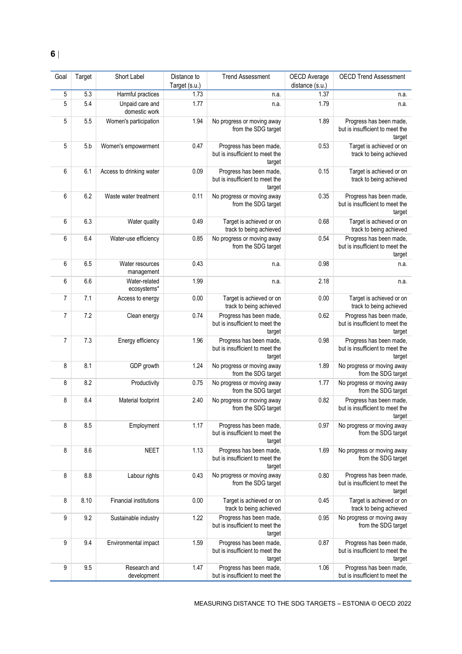| Goal           | Target | Short Label                      | Distance to<br>Target (s.u.) | <b>Trend Assessment</b>                                              | OECD Average<br>distance (s.u.) | <b>OECD Trend Assessment</b>                                         |
|----------------|--------|----------------------------------|------------------------------|----------------------------------------------------------------------|---------------------------------|----------------------------------------------------------------------|
| 5              | 5.3    | Harmful practices                | 1.73                         | n.a.                                                                 | 1.37                            | n.a.                                                                 |
| 5              | 5.4    | Unpaid care and<br>domestic work | 1.77                         | n.a.                                                                 | 1.79                            | n.a.                                                                 |
| 5              | 5.5    | Women's participation            | 1.94                         | No progress or moving away<br>from the SDG target                    | 1.89                            | Progress has been made,<br>but is insufficient to meet the<br>target |
| 5              | 5.b    | Women's empowerment              | 0.47                         | Progress has been made,<br>but is insufficient to meet the<br>target | 0.53                            | Target is achieved or on<br>track to being achieved                  |
| 6              | 6.1    | Access to drinking water         | 0.09                         | Progress has been made,<br>but is insufficient to meet the<br>target | 0.15                            | Target is achieved or on<br>track to being achieved                  |
| 6              | 6.2    | Waste water treatment            | 0.11                         | No progress or moving away<br>from the SDG target                    | 0.35                            | Progress has been made,<br>but is insufficient to meet the<br>target |
| 6              | 6.3    | Water quality                    | 0.49                         | Target is achieved or on<br>track to being achieved                  | 0.68                            | Target is achieved or on<br>track to being achieved                  |
| 6              | 6.4    | Water-use efficiency             | 0.85                         | No progress or moving away<br>from the SDG target                    | 0.54                            | Progress has been made,<br>but is insufficient to meet the<br>target |
| 6              | 6.5    | Water resources<br>management    | 0.43                         | n.a.                                                                 | 0.98                            | n.a.                                                                 |
| 6              | 6.6    | Water-related<br>ecosystems*     | 1.99                         | n.a.                                                                 | 2.18                            | n.a.                                                                 |
| $\overline{7}$ | 7.1    | Access to energy                 | 0.00                         | Target is achieved or on<br>track to being achieved                  | 0.00                            | Target is achieved or on<br>track to being achieved                  |
| 7              | 7.2    | Clean energy                     | 0.74                         | Progress has been made,<br>but is insufficient to meet the<br>target | 0.62                            | Progress has been made,<br>but is insufficient to meet the<br>target |
| $\overline{7}$ | 7.3    | Energy efficiency                | 1.96                         | Progress has been made,<br>but is insufficient to meet the<br>target | 0.98                            | Progress has been made,<br>but is insufficient to meet the<br>target |
| 8              | 8.1    | GDP growth                       | 1.24                         | No progress or moving away<br>from the SDG target                    | 1.89                            | No progress or moving away<br>from the SDG target                    |
| 8              | 8.2    | Productivity                     | 0.75                         | No progress or moving away<br>from the SDG target                    | 1.77                            | No progress or moving away<br>from the SDG target                    |
| 8              | 8.4    | Material footprint               | 2.40                         | No progress or moving away<br>from the SDG target                    | 0.82                            | Progress has been made,<br>but is insufficient to meet the<br>target |
| 8              | 8.5    | Employment                       | 1.17                         | Progress has been made,<br>but is insufficient to meet the<br>target | 0.97                            | No progress or moving away<br>from the SDG target                    |
| 8              | 8.6    | <b>NEET</b>                      | 1.13                         | Progress has been made,<br>but is insufficient to meet the<br>target | 1.69                            | No progress or moving away<br>from the SDG target                    |
| 8              | 8.8    | Labour rights                    | 0.43                         | No progress or moving away<br>from the SDG target                    | 0.80                            | Progress has been made,<br>but is insufficient to meet the<br>target |
| 8              | 8.10   | <b>Financial institutions</b>    | 0.00                         | Target is achieved or on<br>track to being achieved                  | 0.45                            | Target is achieved or on<br>track to being achieved                  |
| 9              | 9.2    | Sustainable industry             | 1.22                         | Progress has been made,<br>but is insufficient to meet the<br>target | 0.95                            | No progress or moving away<br>from the SDG target                    |
| 9              | 9.4    | Environmental impact             | 1.59                         | Progress has been made,<br>but is insufficient to meet the<br>target | 0.87                            | Progress has been made,<br>but is insufficient to meet the<br>target |
| 9              | 9.5    | Research and<br>development      | 1.47                         | Progress has been made,<br>but is insufficient to meet the           | 1.06                            | Progress has been made,<br>but is insufficient to meet the           |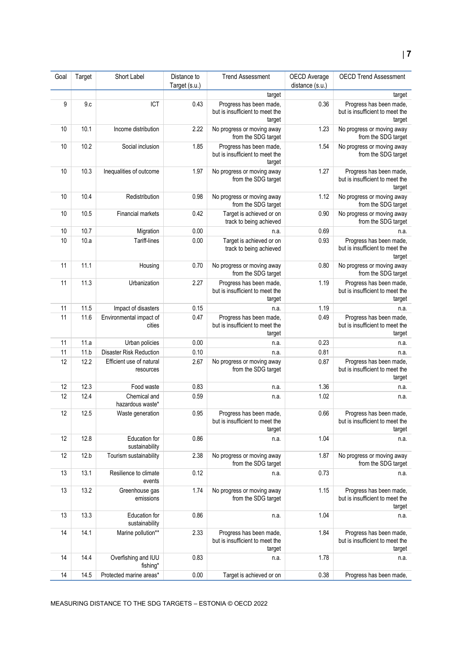# **7**

| Goal | Target | Short Label                           | Distance to<br>Target (s.u.) | <b>Trend Assessment</b>                                              | OECD Average<br>distance (s.u.) | <b>OECD Trend Assessment</b>                                         |
|------|--------|---------------------------------------|------------------------------|----------------------------------------------------------------------|---------------------------------|----------------------------------------------------------------------|
|      |        |                                       |                              | target                                                               |                                 | target                                                               |
| 9    | 9.c    | ICT                                   | 0.43                         | Progress has been made,<br>but is insufficient to meet the<br>target | 0.36                            | Progress has been made,<br>but is insufficient to meet the<br>target |
| 10   | 10.1   | Income distribution                   | 2.22                         | No progress or moving away<br>from the SDG target                    | 1.23                            | No progress or moving away<br>from the SDG target                    |
| 10   | 10.2   | Social inclusion                      | 1.85                         | Progress has been made,<br>but is insufficient to meet the<br>target | 1.54                            | No progress or moving away<br>from the SDG target                    |
| 10   | 10.3   | Inequalities of outcome               | 1.97                         | No progress or moving away<br>from the SDG target                    | 1.27                            | Progress has been made,<br>but is insufficient to meet the<br>target |
| 10   | 10.4   | Redistribution                        | 0.98                         | No progress or moving away<br>from the SDG target                    | 1.12                            | No progress or moving away<br>from the SDG target                    |
| 10   | 10.5   | <b>Financial markets</b>              | 0.42                         | Target is achieved or on<br>track to being achieved                  | 0.90                            | No progress or moving away<br>from the SDG target                    |
| 10   | 10.7   | Migration                             | 0.00                         | n.a.                                                                 | 0.69                            | n.a.                                                                 |
| 10   | 10.a   | <b>Tariff-lines</b>                   | 0.00                         | Target is achieved or on<br>track to being achieved                  | 0.93                            | Progress has been made,<br>but is insufficient to meet the<br>target |
| 11   | 11.1   | Housing                               | 0.70                         | No progress or moving away<br>from the SDG target                    | 0.80                            | No progress or moving away<br>from the SDG target                    |
| 11   | 11.3   | Urbanization                          | 2.27                         | Progress has been made,<br>but is insufficient to meet the<br>target | 1.19                            | Progress has been made,<br>but is insufficient to meet the<br>target |
| 11   | 11.5   | Impact of disasters                   | 0.15                         | n.a.                                                                 | 1.19                            | n.a.                                                                 |
| 11   | 11.6   | Environmental impact of<br>cities     | 0.47                         | Progress has been made,<br>but is insufficient to meet the<br>target | 0.49                            | Progress has been made,<br>but is insufficient to meet the<br>target |
| 11   | 11.a   | Urban policies                        | 0.00                         | n.a.                                                                 | 0.23                            | n.a.                                                                 |
| 11   | 11.b   | Disaster Risk Reduction               | 0.10                         | n.a.                                                                 | 0.81                            | n.a.                                                                 |
| 12   | 12.2   | Efficient use of natural<br>resources | 2.67                         | No progress or moving away<br>from the SDG target                    | 0.87                            | Progress has been made,<br>but is insufficient to meet the<br>target |
| 12   | 12.3   | Food waste                            | 0.83                         | n.a.                                                                 | 1.36                            | n.a.                                                                 |
| 12   | 12.4   | Chemical and<br>hazardous waste*      | 0.59                         | n.a.                                                                 | 1.02                            | n.a.                                                                 |
| 12   | 12.5   | Waste generation                      | 0.95                         | Progress has been made,<br>but is insufficient to meet the<br>target | 0.66                            | Progress has been made,<br>but is insufficient to meet the<br>target |
| 12   | 12.8   | Education for<br>sustainability       | 0.86                         | n.a.                                                                 | 1.04                            | n.a.                                                                 |
| 12   | 12.b   | Tourism sustainability                | 2.38                         | No progress or moving away<br>from the SDG target                    | 1.87                            | No progress or moving away<br>from the SDG target                    |
| 13   | 13.1   | Resilience to climate<br>events       | 0.12                         | n.a.                                                                 | 0.73                            | n.a.                                                                 |
| 13   | 13.2   | Greenhouse gas<br>emissions           | 1.74                         | No progress or moving away<br>from the SDG target                    | 1.15                            | Progress has been made,<br>but is insufficient to meet the<br>target |
| 13   | 13.3   | Education for<br>sustainability       | 0.86                         | n.a.                                                                 | 1.04                            | n.a.                                                                 |
| 14   | 14.1   | Marine pollution**                    | 2.33                         | Progress has been made,<br>but is insufficient to meet the<br>target | 1.84                            | Progress has been made,<br>but is insufficient to meet the<br>target |
| 14   | 14.4   | Overfishing and IUU<br>fishing*       | 0.83                         | n.a.                                                                 | 1.78                            | n.a.                                                                 |
| 14   | 14.5   | Protected marine areas*               | 0.00                         | Target is achieved or on                                             | 0.38                            | Progress has been made,                                              |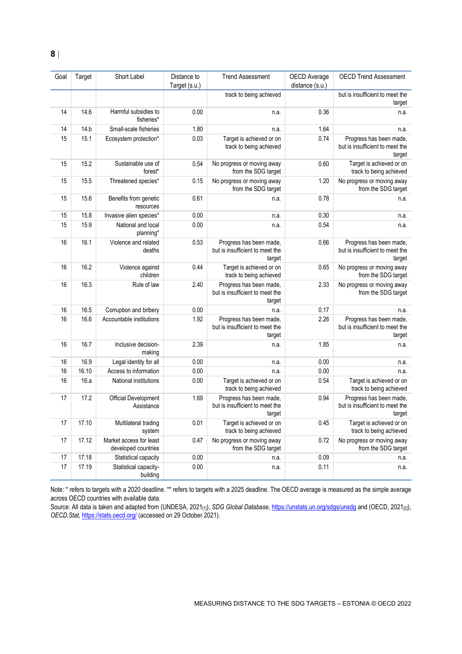| Goal | Target | Short Label                                    | Distance to<br>Target (s.u.) | <b>Trend Assessment</b>                                              | <b>OECD</b> Average<br>distance (s.u.) | <b>OECD Trend Assessment</b>                                         |
|------|--------|------------------------------------------------|------------------------------|----------------------------------------------------------------------|----------------------------------------|----------------------------------------------------------------------|
|      |        |                                                |                              | track to being achieved                                              |                                        | but is insufficient to meet the<br>target                            |
| 14   | 14.6   | Harmful subsidies to<br>fisheries*             | 0.00                         | n.a.                                                                 | 0.36                                   | n.a.                                                                 |
| 14   | 14.b   | Small-scale fisheries                          | 1.80                         | n.a.                                                                 | 1.64                                   | n.a.                                                                 |
| 15   | 15.1   | Ecosystem protection*                          | 0.03                         | Target is achieved or on<br>track to being achieved                  | 0.74                                   | Progress has been made,<br>but is insufficient to meet the<br>target |
| 15   | 15.2   | Sustainable use of<br>forest*                  | 0.54                         | No progress or moving away<br>from the SDG target                    | 0.60                                   | Target is achieved or on<br>track to being achieved                  |
| 15   | 15.5   | Threatened species*                            | 0.15                         | No progress or moving away<br>from the SDG target                    | 1.20                                   | No progress or moving away<br>from the SDG target                    |
| 15   | 15.6   | Benefits from genetic<br>resources             | 0.61                         | n.a.                                                                 | 0.78                                   | n.a.                                                                 |
| 15   | 15.8   | Invasive alien species*                        | 0.00                         | n.a.                                                                 | 0.30                                   | n.a.                                                                 |
| 15   | 15.9   | National and local<br>planning*                | 0.00                         | n.a.                                                                 | 0.54                                   | n.a.                                                                 |
| 16   | 16.1   | Violence and related<br>deaths                 | 0.53                         | Progress has been made,<br>but is insufficient to meet the<br>target | 0.66                                   | Progress has been made,<br>but is insufficient to meet the<br>target |
| 16   | 16.2   | Violence against<br>children                   | 0.44                         | Target is achieved or on<br>track to being achieved                  | 0.65                                   | No progress or moving away<br>from the SDG target                    |
| 16   | 16.3   | Rule of law                                    | 2.40                         | Progress has been made,<br>but is insufficient to meet the<br>target | 2.33                                   | No progress or moving away<br>from the SDG target                    |
| 16   | 16.5   | Corruption and bribery                         | 0.00                         | n.a.                                                                 | 0.17                                   | n.a.                                                                 |
| 16   | 16.6   | Accountable institutions                       | 1.92                         | Progress has been made,<br>but is insufficient to meet the<br>target | 2.26                                   | Progress has been made,<br>but is insufficient to meet the<br>target |
| 16   | 16.7   | Inclusive decision-<br>making                  | 2.39                         | n.a.                                                                 | 1.85                                   | n.a.                                                                 |
| 16   | 16.9   | Legal identity for all                         | 0.00                         | n.a.                                                                 | 0.00                                   | n.a.                                                                 |
| 16   | 16.10  | Access to information                          | 0.00                         | n.a.                                                                 | 0.00                                   | n.a.                                                                 |
| 16   | 16.a   | National institutions                          | 0.00                         | Target is achieved or on<br>track to being achieved                  | 0.54                                   | Target is achieved or on<br>track to being achieved                  |
| 17   | 17.2   | <b>Official Development</b><br>Assistance      | 1.69                         | Progress has been made,<br>but is insufficient to meet the<br>target | 0.94                                   | Progress has been made,<br>but is insufficient to meet the<br>target |
| 17   | 17.10  | Multilateral trading<br>system                 | 0.01                         | Target is achieved or on<br>track to being achieved                  | 0.45                                   | Target is achieved or on<br>track to being achieved                  |
| 17   | 17.12  | Market access for least<br>developed countries | 0.47                         | No progress or moving away<br>from the SDG target                    | 0.72                                   | No progress or moving away<br>from the SDG target                    |
| 17   | 17.18  | Statistical capacity                           | 0.00                         | n.a.                                                                 | 0.09                                   | n.a.                                                                 |
| 17   | 17.19  | Statistical capacity-<br>building              | 0.00                         | n.a.                                                                 | 0.11                                   | n.a.                                                                 |

Note: \* refers to targets with a 2020 deadline. \*\* refers to targets with a 2025 deadline. The OECD average is measured as the simple average across OECD countries with available data.

Source: All data is taken and adapted from (UNDESA, 2021[1]), *SDG Global Database*[, https://unstats.un.org/sdgs/unsdg](https://unstats.un.org/sdgs/unsdg) and (OECD, 2021[2]), *OECD.Stat,* <https://stats.oecd.org/> (accessed on 29 October 2021).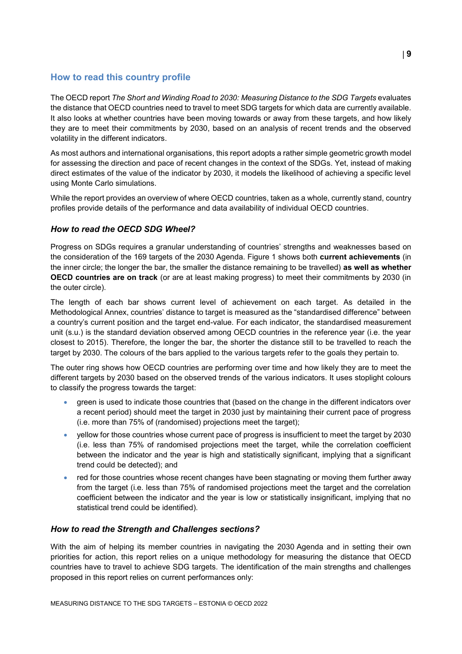# <span id="page-8-0"></span>**How to read this country profile**

The OECD report *The Short and Winding Road to 2030: Measuring Distance to the SDG Targets* evaluates the distance that OECD countries need to travel to meet SDG targets for which data are currently available. It also looks at whether countries have been moving towards or away from these targets, and how likely they are to meet their commitments by 2030, based on an analysis of recent trends and the observed volatility in the different indicators.

As most authors and international organisations, this report adopts a rather simple geometric growth model for assessing the direction and pace of recent changes in the context of the SDGs. Yet, instead of making direct estimates of the value of the indicator by 2030, it models the likelihood of achieving a specific level using Monte Carlo simulations.

While the report provides an overview of where OECD countries, taken as a whole, currently stand, country profiles provide details of the performance and data availability of individual OECD countries.

#### *How to read the OECD SDG Wheel?*

Progress on SDGs requires a granular understanding of countries' strengths and weaknesses based on the consideration of the 169 targets of the 2030 Agenda. [Figure](#page-0-0) 1 shows both **current achievements** (in the inner circle; the longer the bar, the smaller the distance remaining to be travelled) **as well as whether OECD countries are on track** (or are at least making progress) to meet their commitments by 2030 (in the outer circle).

The length of each bar shows current level of achievement on each target. As detailed in the Methodological Annex, countries' distance to target is measured as the "standardised difference" between a country's current position and the target end-value. For each indicator, the standardised measurement unit (s.u.) is the standard deviation observed among OECD countries in the reference year (i.e. the year closest to 2015). Therefore, the longer the bar, the shorter the distance still to be travelled to reach the target by 2030. The colours of the bars applied to the various targets refer to the goals they pertain to.

The outer ring shows how OECD countries are performing over time and how likely they are to meet the different targets by 2030 based on the observed trends of the various indicators. It uses stoplight colours to classify the progress towards the target:

- green is used to indicate those countries that (based on the change in the different indicators over a recent period) should meet the target in 2030 just by maintaining their current pace of progress (i.e. more than 75% of (randomised) projections meet the target);
- yellow for those countries whose current pace of progress is insufficient to meet the target by 2030 (i.e. less than 75% of randomised projections meet the target, while the correlation coefficient between the indicator and the year is high and statistically significant, implying that a significant trend could be detected); and
- red for those countries whose recent changes have been stagnating or moving them further away from the target (i.e. less than 75% of randomised projections meet the target and the correlation coefficient between the indicator and the year is low or statistically insignificant, implying that no statistical trend could be identified).

#### *How to read the Strength and Challenges sections?*

With the aim of helping its member countries in navigating the 2030 Agenda and in setting their own priorities for action, this report relies on a unique methodology for measuring the distance that OECD countries have to travel to achieve SDG targets. The identification of the main strengths and challenges proposed in this report relies on current performances only: